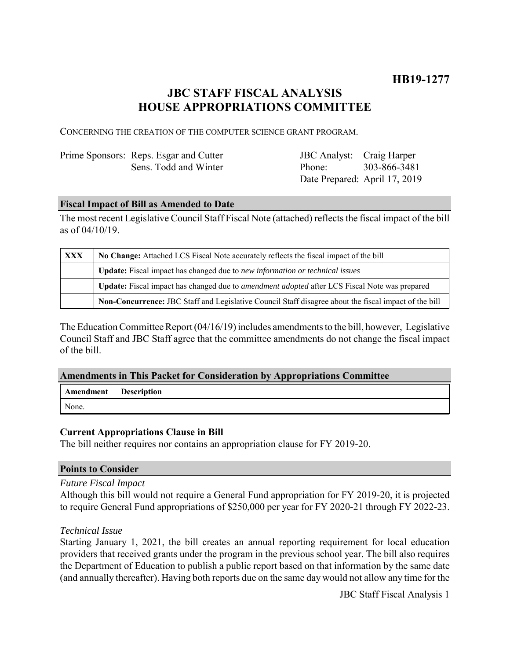## **JBC STAFF FISCAL ANALYSIS HOUSE APPROPRIATIONS COMMITTEE**

CONCERNING THE CREATION OF THE COMPUTER SCIENCE GRANT PROGRAM.

| Prime Sponsors: Reps. Esgar and Cutter |
|----------------------------------------|
| Sens. Todd and Winter                  |

JBC Analyst: Craig Harper Phone: Date Prepared: April 17, 2019 303-866-3481

### **Fiscal Impact of Bill as Amended to Date**

The most recent Legislative Council Staff Fiscal Note (attached) reflects the fiscal impact of the bill as of 04/10/19.

| <b>XXX</b> | No Change: Attached LCS Fiscal Note accurately reflects the fiscal impact of the bill                 |  |
|------------|-------------------------------------------------------------------------------------------------------|--|
|            | Update: Fiscal impact has changed due to new information or technical issues                          |  |
|            | Update: Fiscal impact has changed due to <i>amendment adopted</i> after LCS Fiscal Note was prepared  |  |
|            | Non-Concurrence: JBC Staff and Legislative Council Staff disagree about the fiscal impact of the bill |  |

The Education Committee Report (04/16/19) includes amendments to the bill, however, Legislative Council Staff and JBC Staff agree that the committee amendments do not change the fiscal impact of the bill.

### **Amendments in This Packet for Consideration by Appropriations Committee**

| <b>Amendment</b> Description |  |
|------------------------------|--|
| None.                        |  |

### **Current Appropriations Clause in Bill**

The bill neither requires nor contains an appropriation clause for FY 2019-20.

### **Points to Consider**

### *Future Fiscal Impact*

Although this bill would not require a General Fund appropriation for FY 2019-20, it is projected to require General Fund appropriations of \$250,000 per year for FY 2020-21 through FY 2022-23.

### *Technical Issue*

Starting January 1, 2021, the bill creates an annual reporting requirement for local education providers that received grants under the program in the previous school year. The bill also requires the Department of Education to publish a public report based on that information by the same date (and annually thereafter). Having both reports due on the same day would not allow any time for the